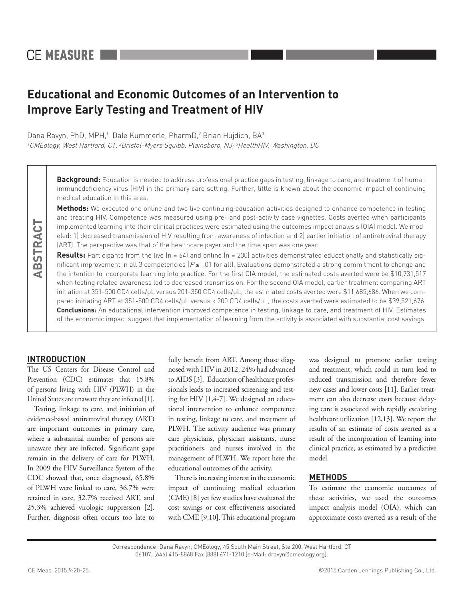# **Educational and Economic Outcomes of an Intervention to Improve Early Testing and Treatment of HIV**

Dana Ravyn, PhD, MPH,<sup>1</sup> Dale Kummerle, PharmD,<sup>2</sup> Brian Hujdich, BA<sup>3</sup> <sup>1</sup>CMEology, West Hartford, CT; <sup>2</sup>Bristol-Myers Squibb, Plainsboro, NJ; <sup>3</sup>HealthHIV, Washington, DC

> **Background:** Education is needed to address professional practice gaps in testing, linkage to care, and treatment of human immunodeficiency virus (HIV) in the primary care setting. Further, little is known about the economic impact of continuing medical education in this area.

> **Methods:** We executed one online and two live continuing education activities designed to enhance competence in testing and treating HIV. Competence was measured using pre- and post-activity case vignettes. Costs averted when participants implemented learning into their clinical practices were estimated using the outcomes impact analysis (OIA) model. We modeled: 1) decreased transmission of HIV resulting from awareness of infection and 2) earlier initiation of antiretroviral therapy (ART). The perspective was that of the healthcare payer and the time span was one year.

> **Results:** Participants from the live (n = 64) and online (n = 230) activities demonstrated educationally and statistically significant improvement in all 3 competencies ( $P \le 0.01$  for all). Evaluations demonstrated a strong commitment to change and the intention to incorporate learning into practice. For the first OIA model, the estimated costs averted were be \$10,731,517 when testing related awareness led to decreased transmission. For the second OIA model, earlier treatment comparing ART initiation at 351-500 CD4 cells/µL versus 201-350 CD4 cells/µL, the estimated costs averted were \$11,685,686. When we compared initiating ART at 351-500 CD4 cells/μL versus < 200 CD4 cells/μL, the costs averted were estimated to be \$39,521,676. **Conclusions:** An educational intervention improved competence in testing, linkage to care, and treatment of HIV. Estimates of the economic impact suggest that implementation of learning from the activity is associated with substantial cost savings.

## **INTRODUCTION**

**ABSTRACT**

ABSTRACT

The US Centers for Disease Control and Prevention (CDC) estimates that 15.8% of persons living with HIV (PLWH) in the United States are unaware they are infected [1].

Testing, linkage to care, and initiation of evidence-based antiretroviral therapy (ART) are important outcomes in primary care, where a substantial number of persons are unaware they are infected. Significant gaps remain in the delivery of care for PLWH. In 2009 the HIV Surveillance System of the CDC showed that, once diagnosed, 65.8% of PLWH were linked to care, 36.7% were retained in care, 32.7% received ART, and 25.3% achieved virologic suppression [2]. Further, diagnosis often occurs too late to

fully benefit from ART. Among those diagnosed with HIV in 2012, 24% had advanced to AIDS [3]. Education of healthcare professionals leads to increased screening and testing for HIV [1,4-7]. We designed an educational intervention to enhance competence in testing, linkage to care, and treatment of PLWH. The activity audience was primary care physicians, physician assistants, nurse practitioners, and nurses involved in the management of PLWH. We report here the educational outcomes of the activity.

There is increasing interest in the economic impact of continuing medical education (CME) [8] yet few studies have evaluated the cost savings or cost effectiveness associated with CME [9,10]. This educational program was designed to promote earlier testing and treatment, which could in turn lead to reduced transmission and therefore fewer new cases and lower costs [11]. Earlier treatment can also decrease costs because delaying care is associated with rapidly escalating healthcare utilization [12,13]. We report the results of an estimate of costs averted as a result of the incorporation of learning into clinical practice, as estimated by a predictive model.

## **METHODS**

To estimate the economic outcomes of these activities, we used the outcomes impact analysis model (OIA), which can approximate costs averted as a result of the

Correspondence: Dana Ravyn, CMEology, 45 South Main Street, Ste 200, West Hartford, CT 06107; (646) 415-8868 Fax (888) 671-1210 (e-Mail: dravyn@cmeology.org).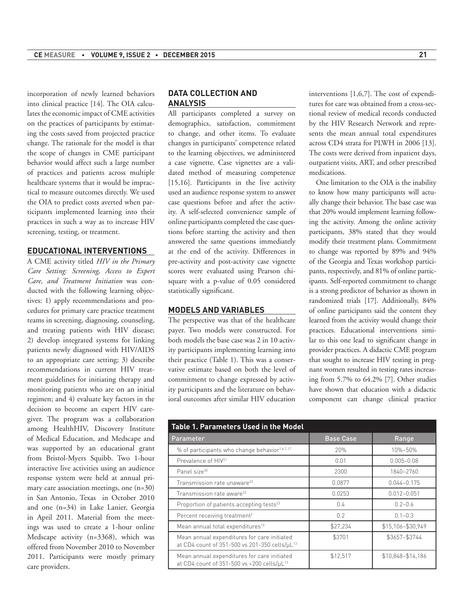incorporation of newly learned behaviors into clinical practice [14]. The OIA calculates the economic impact of CME activities on the practices of participants by estimating the costs saved from projected practice change. The rationale for the model is that the scope of changes in CME participant behavior would affect such a large number of practices and patients across multiple healthcare systems that it would be impractical to measure outcomes directly. We used the OIA to predict costs averted when participants implemented learning into their practices in such a way as to increase HIV screening, testing, or treatment.

# **EDUCATIONAL INTERVENTIONS**

A CME activity titled *HIV in the Primary Care Setting: Screening, Access to Expert Care, and Treatment Initiation* was conducted with the following learning objectives: 1) apply recommendations and procedures for primary care practice treatment teams in screening, diagnosing, counseling, and treating patients with HIV disease; 2) develop integrated systems for linking patients newly diagnosed with HIV/AIDS to an appropriate care setting; 3) describe recommendations in current HIV treatment guidelines for initiating therapy and monitoring patients who are on an initial regimen; and 4) evaluate key factors in the decision to become an expert HIV caregiver. The program was a collaboration among HealthHIV, Discovery Institute of Medical Education, and Medscape and was supported by an educational grant from Bristol-Myers Squibb. Two 1-hour interactive live activities using an audience response system were held at annual primary care association meetings, one (n=30) in San Antonio, Texas in October 2010 and one (n=34) in Lake Lanier, Georgia in April 2011. Material from the meetings was used to create a 1-hour online Medscape activity (n=3368), which was offered from November 2010 to November 2011. Participants were mostly primary care providers.

# **DATA COLLECTION AND ANALYSIS**

All participants completed a survey on demographics, satisfaction, commitment to change, and other items. To evaluate changes in participants' competence related to the learning objectives, we administered a case vignette. Case vignettes are a validated method of measuring competence [15,16]. Participants in the live activity used an audience response system to answer case questions before and after the activity. A self-selected convenience sample of online participants completed the case questions before starting the activity and then answered the same questions immediately at the end of the activity. Differences in pre-activity and post-activity case vignette scores were evaluated using Pearson chisquare with a p-value of 0.05 considered statistically significant.

#### **MODELS AND VARIABLES**

The perspective was that of the healthcare payer. Two models were constructed. For both models the base case was 2 in 10 activity participants implementing learning into their practice (Table 1). This was a conservative estimate based on both the level of commitment to change expressed by activity participants and the literature on behavioral outcomes after similar HIV education interventions [1,6,7]. The cost of expenditures for care was obtained from a cross-sectional review of medical records conducted by the HIV Research Network and represents the mean annual total expenditures across CD4 strata for PLWH in 2006 [13]. The costs were derived from inpatient days, outpatient visits, ART, and other prescribed medications.

One limitation to the OIA is the inability to know how many participants will actually change their behavior. The base case was that 20% would implement learning following the activity. Among the online activity participants, 38% stated that they would modify their treatment plans. Commitment to change was reported by 89% and 94% of the Georgia and Texas workshop participants, respectively, and 81% of online participants. Self-reported commitment to change is a strong predictor of behavior as shown in randomized trials [17]. Additionally, 84% of online participants said the content they learned from the activity would change their practices. Educational interventions similar to this one lead to significant change in provider practices. A didactic CME program that sought to increase HIV testing in pregnant women resulted in testing rates increasing from 5.7% to 64.2% [7]. Other studies have shown that education with a didactic component can change clinical practice

| <b>Table 1. Parameters Used in the Model</b>                                                             |                  |                   |
|----------------------------------------------------------------------------------------------------------|------------------|-------------------|
| Parameter                                                                                                | <b>Base Case</b> | Range             |
| % of participants who change behavior <sup>1,6,7,17</sup>                                                | 20%              | 10%-50%           |
| Prevalence of HIV <sup>31</sup>                                                                          | 0.01             | $0.005 - 0.08$    |
| Panel size <sup>30</sup>                                                                                 | 2300             | 1840-2760         |
| Transmission rate unaware <sup>22</sup>                                                                  | 0.0877           | $0.044 - 0.175$   |
| Transmission rate aware <sup>22</sup>                                                                    | 0.0253           | $0.012 - 0.051$   |
| Proportion of patients accepting tests <sup>23</sup>                                                     | 0.4              | $0.2 - 0.6$       |
| Percent receiving treatment <sup>2</sup>                                                                 | 0.2              | $0.1 - 0.3$       |
| Mean annual total expenditures <sup>13</sup>                                                             | \$27,234         | \$15,106-\$30,949 |
| Mean annual expenditures for care initiated<br>at CD4 count of 351-500 vs 201-350 cells/uL <sup>13</sup> | \$3701           | \$3657-\$3744     |
| Mean annual expenditures for care initiated<br>at CD4 count of 351-500 vs <200 cells/uL13                | \$12,517         | \$10,848-\$14,186 |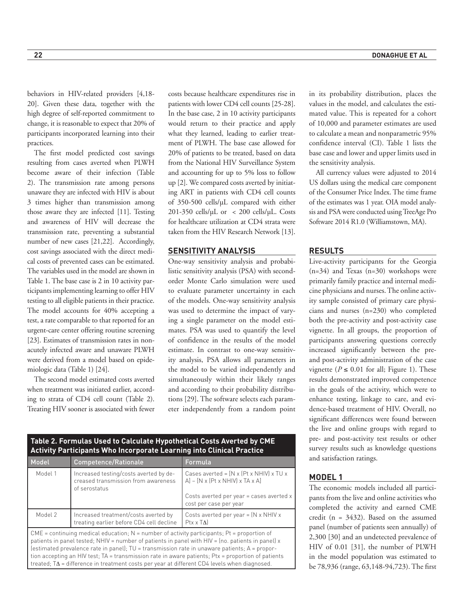behaviors in HIV-related providers [4,18- 20]. Given these data, together with the high degree of self-reported commitment to change, it is reasonable to expect that 20% of participants incorporated learning into their practices.

The first model predicted cost savings resulting from cases averted when PLWH become aware of their infection (Table 2). The transmission rate among persons unaware they are infected with HIV is about 3 times higher than transmission among those aware they are infected [11]. Testing and awareness of HIV will decrease the transmission rate, preventing a substantial number of new cases [21,22]. Accordingly, cost savings associated with the direct medical costs of prevented cases can be estimated. The variables used in the model are shown in Table 1. The base case is 2 in 10 activity participants implementing learning to offer HIV testing to all eligible patients in their practice. The model accounts for 40% accepting a test, a rate comparable to that reported for an urgent-care center offering routine screening [23]. Estimates of transmission rates in nonacutely infected aware and unaware PLWH were derived from a model based on epidemiologic data (Table 1) [24].

The second model estimated costs averted when treatment was initiated earlier, according to strata of CD4 cell count (Table 2). Treating HIV sooner is associated with fewer costs because healthcare expenditures rise in patients with lower CD4 cell counts [25-28]. In the base case, 2 in 10 activity participants would return to their practice and apply what they learned, leading to earlier treatment of PLWH. The base case allowed for 20% of patients to be treated, based on data from the National HIV Surveillance System and accounting for up to 5% loss to follow up [2]. We compared costs averted by initiating ART in patients with CD4 cell counts of 350-500 cells/μL compared with either  $201-350$  cells/ $\mu$ L or < 200 cells/ $\mu$ L. Costs for healthcare utilization at CD4 strata were taken from the HIV Research Network [13].

## **SENSITIVITY ANALYSIS**

One-way sensitivity analysis and probabilistic sensitivity analysis (PSA) with secondorder Monte Carlo simulation were used to evaluate parameter uncertainty in each of the models. One-way sensitivity analysis was used to determine the impact of varying a single parameter on the model estimates. PSA was used to quantify the level of confidence in the results of the model estimate. In contrast to one-way sensitivity analysis, PSA allows all parameters in the model to be varied independently and simultaneously within their likely ranges and according to their probability distributions [29]. The software selects each parameter independently from a random point

**Table 2. Formulas Used to Calculate Hypothetical Costs Averted by CME Activity Participants Who Incorporate Learning into Clinical Practice** Model Competence/Rationale Formula Model 1 | Increased testing/costs averted by decreased transmission from awareness of serostatus Cases averted =  $[N \times (Pt \times NHIV)] \times TU \times$ A] – [N x (Pt x NHIV) x TA x A]

|         | UI SEI USTATUS                                                                   | Costs averted per year = cases averted x<br>cost per case per year  |
|---------|----------------------------------------------------------------------------------|---------------------------------------------------------------------|
| Model 2 | Increased treatment/costs averted by<br>treating earlier before CD4 cell decline | Costs averted per year = $(N \times NHIV \times$<br>$Ptx \times TA$ |
|         |                                                                                  |                                                                     |

 $CME =$  continuing medical education;  $N =$  number of activity participants; Pt = proportion of patients in panel tested; NHIV = number of patients in panel with HIV = (no. patients in panel) x (estimated prevalence rate in panel);  $TU =$  transmission rate in unaware patients;  $A =$  proportion accepting an HIV test; TA = transmission rate in aware patients; Ptx = proportion of patients treated; TΔ = difference in treatment costs per year at different CD4 levels when diagnosed.

in its probability distribution, places the values in the model, and calculates the estimated value. This is repeated for a cohort of 10,000 and parameter estimates are used to calculate a mean and nonparametric 95% confidence interval (CI). Table 1 lists the base case and lower and upper limits used in the sensitivity analysis.

All currency values were adjusted to 2014 US dollars using the medical care component of the Consumer Price Index. The time frame of the estimates was 1 year. OIA model analysis and PSA were conducted using TreeAge Pro Software 2014 R1.0 (Williamstown, MA).

## **RESULTS**

Live-activity participants for the Georgia (n=34) and Texas (n=30) workshops were primarily family practice and internal medicine physicians and nurses. The online activity sample consisted of primary care physicians and nurses (n=230) who completed both the pre-activity and post-activity case vignette. In all groups, the proportion of participants answering questions correctly increased significantly between the preand post-activity administration of the case vignette ( $P \le 0.01$  for all; Figure 1). These results demonstrated improved competence in the goals of the activity, which were to enhance testing, linkage to care, and evidence-based treatment of HIV. Overall, no significant differences were found between the live and online groups with regard to pre- and post-activity test results or other survey results such as knowledge questions and satisfaction ratings.

## **MODEL 1**

The economic models included all participants from the live and online activities who completed the activity and earned CME credit (n = 3432). Based on the assumed panel (number of patients seen annually) of 2,300 [30] and an undetected prevalence of HIV of 0.01 [31], the number of PLWH in the model population was estimated to be 78,936 (range, 63,148-94,723). The first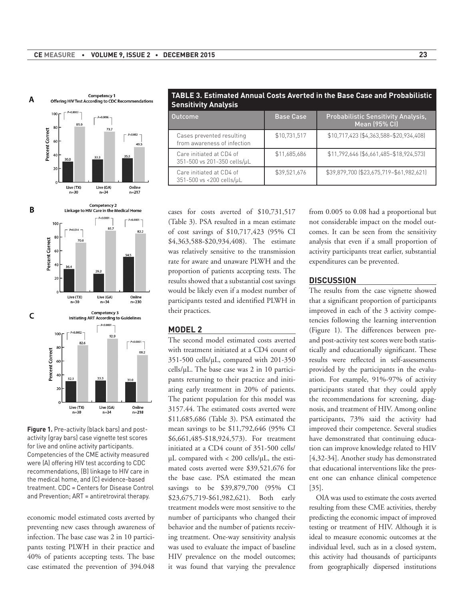



**Figure 1.** Pre-activity (black bars) and postactivity (gray bars) case vignette test scores for live and online activity participants. Competencies of the CME activity measured were (A) offering HIV test according to CDC recommendations, (B) linkage to HIV care in the medical home, and (C) evidence-based treatment. CDC = Centers for Disease Control and Prevention; ART = antiretroviral therapy.

economic model estimated costs averted by preventing new cases through awareness of infection. The base case was 2 in 10 participants testing PLWH in their practice and 40% of patients accepting tests. The base case estimated the prevention of 394.048

cases for costs averted of \$10,731,517 (Table 3). PSA resulted in a mean estimate of cost savings of \$10,717,423 (95% CI \$4,363,588-\$20,934,408). The estimate was relatively sensitive to the transmission rate for aware and unaware PLWH and the proportion of patients accepting tests. The results showed that a substantial cost savings would be likely even if a modest number of participants tested and identified PLWH in their practices.

**Sensitivity Analysis**

Cases prevented resulting from awareness of infection

Care initiated at CD4 of 351-500 vs 201-350 cells/μL

Care initiated at CD4 of 351-500 vs <200 cells/μL

## **MODEL 2**

The second model estimated costs averted with treatment initiated at a CD4 count of 351-500 cells/μL, compared with 201-350 cells/μL. The base case was 2 in 10 participants returning to their practice and initiating early treatment in 20% of patients. The patient population for this model was 3157.44. The estimated costs averted were \$11,685,686 (Table 3). PSA estimated the mean savings to be \$11,792,646 (95% CI \$6,661,485-\$18,924,573). For treatment initiated at a CD4 count of 351-500 cells/ μL compared with < 200 cells/μL, the estimated costs averted were \$39,521,676 for the base case. PSA estimated the mean savings to be \$39,879,700 (95% CI \$23,675,719-\$61,982,621). Both early treatment models were most sensitive to the number of participants who changed their behavior and the number of patients receiving treatment. One-way sensitivity analysis was used to evaluate the impact of baseline HIV prevalence on the model outcomes; it was found that varying the prevalence from 0.005 to 0.08 had a proportional but not considerable impact on the model outcomes. It can be seen from the sensitivity analysis that even if a small proportion of activity participants treat earlier, substantial expenditures can be prevented.

Mean (95% CI)

\$10,731,517 \$10,717,423 (\$4,363,588–\$20,934,408)

\$11,685,686 \$11,792,646 (\$6,661,485–\$18,924,573)

\$39,521,676 \$39,879,700 (\$23,675,719–\$61,982,621)

#### **DISCUSSION**

**TABLE 3. Estimated Annual Costs Averted in the Base Case and Probabilistic** 

Outcome **Base Case Case Probabilistic Sensitivity Analysis,** 

The results from the case vignette showed that a significant proportion of participants improved in each of the 3 activity competencies following the learning intervention (Figure 1). The differences between preand post-activity test scores were both statistically and educationally significant. These results were reflected in self-assessments provided by the participants in the evaluation. For example, 91%-97% of activity participants stated that they could apply the recommendations for screening, diagnosis, and treatment of HIV. Among online participants, 73% said the activity had improved their competence. Several studies have demonstrated that continuing education can improve knowledge related to HIV [4,32-34]. Another study has demonstrated that educational interventions like the present one can enhance clinical competence [35].

OIA was used to estimate the costs averted resulting from these CME activities, thereby predicting the economic impact of improved testing or treatment of HIV. Although it is ideal to measure economic outcomes at the individual level, such as in a closed system, this activity had thousands of participants from geographically dispersed institutions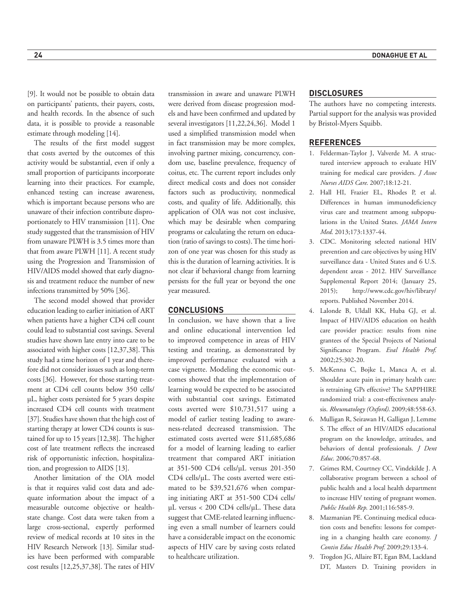[9]. It would not be possible to obtain data on participants' patients, their payers, costs, and health records. In the absence of such data, it is possible to provide a reasonable estimate through modeling [14].

The results of the first model suggest that costs averted by the outcomes of this activity would be substantial, even if only a small proportion of participants incorporate learning into their practices. For example, enhanced testing can increase awareness, which is important because persons who are unaware of their infection contribute disproportionately to HIV transmission [11]. One study suggested that the transmission of HIV from unaware PLWH is 3.5 times more than that from aware PLWH [11]. A recent study using the Progression and Transmission of HIV/AIDS model showed that early diagnosis and treatment reduce the number of new infections transmitted by 50% [36].

The second model showed that provider education leading to earlier initiation of ART when patients have a higher CD4 cell count could lead to substantial cost savings. Several studies have shown late entry into care to be associated with higher costs [12,37,38]. This study had a time horizon of 1 year and therefore did not consider issues such as long-term costs [36]. However, for those starting treatment at CD4 cell counts below 350 cells/ μL, higher costs persisted for 5 years despite increased CD4 cell counts with treatment [37]. Studies have shown that the high cost of starting therapy at lower CD4 counts is sustained for up to 15 years [12,38]. The higher cost of late treatment reflects the increased risk of opportunistic infection, hospitalization, and progression to AIDS [13].

Another limitation of the OIA model is that it requires valid cost data and adequate information about the impact of a measurable outcome objective or healthstate change. Cost data were taken from a large cross-sectional, expertly performed review of medical records at 10 sites in the HIV Research Network [13]. Similar studies have been performed with comparable cost results [12,25,37,38]. The rates of HIV

transmission in aware and unaware PLWH were derived from disease progression models and have been confirmed and updated by several investigators [11,22,24,36]. Model 1 used a simplified transmission model when in fact transmission may be more complex, involving partner mixing, concurrency, condom use, baseline prevalence, frequency of coitus, etc. The current report includes only direct medical costs and does not consider factors such as productivity, nonmedical costs, and quality of life. Additionally, this application of OIA was not cost inclusive, which may be desirable when comparing programs or calculating the return on education (ratio of savings to costs). The time horizon of one year was chosen for this study as this is the duration of learning activities. It is not clear if behavioral change from learning persists for the full year or beyond the one year measured.

#### **CONCLUSIONS**

In conclusion, we have shown that a live and online educational intervention led to improved competence in areas of HIV testing and treating, as demonstrated by improved performance evaluated with a case vignette. Modeling the economic outcomes showed that the implementation of learning would be expected to be associated with substantial cost savings. Estimated costs averted were \$10,731,517 using a model of earlier testing leading to awareness-related decreased transmission. The estimated costs averted were \$11,685,686 for a model of learning leading to earlier treatment that compared ART initiation at 351-500 CD4 cells/μL versus 201-350 CD4 cells/μL. The costs averted were estimated to be \$39,521,676 when comparing initiating ART at 351-500 CD4 cells/ μL versus < 200 CD4 cells/μL. These data suggest that CME-related learning influencing even a small number of learners could have a considerable impact on the economic aspects of HIV care by saving costs related to healthcare utilization.

#### **DISCLOSURES**

The authors have no competing interests. Partial support for the analysis was provided by Bristol-Myers Squibb.

## **REFERENCES**

- 1. Felderman-Taylor J, Valverde M. A structured interview approach to evaluate HIV training for medical care providers. *J Assoc Nurses AIDS Care*. 2007;18:12-21.
- 2. Hall HI, Frazier EL, Rhodes P, et al. Differences in human immunodeficiency virus care and treatment among subpopulations in the United States. *JAMA Intern Med*. 2013;173:1337-44.
- 3. CDC. Monitoring selected national HIV prevention and care objectives by using HIV surveillance data - United States and 6 U.S. dependent areas - 2012. HIV Surveillance Supplemental Report 2014; (January 25, 2015); http://www.cdc.gov/hiv/library/ reports. Published November 2014.
- 4. Lalonde B, Uldall KK, Huba GJ, et al. Impact of HIV/AIDS education on health care provider practice: results from nine grantees of the Special Projects of National Significance Program. *Eval Health Prof*. 2002;25:302-20.
- 5. McKenna C, Bojke L, Manca A, et al. Shoulder acute pain in primary health care: is retraining GPs effective? The SAPPHIRE randomized trial: a cost-effectiveness analysis. *Rheumatology (Oxford)*. 2009;48:558-63.
- 6. Mulligan R, Seirawan H, Galligan J, Lemme S. The effect of an HIV/AIDS educational program on the knowledge, attitudes, and behaviors of dental professionals. *J Dent Educ*. 2006;70:857-68.
- 7. Grimes RM, Courtney CC, Vindekilde J. A collaborative program between a school of public health and a local health department to increase HIV testing of pregnant women. *Public Health Rep*. 2001;116:585-9.
- 8. Mazmanian PE. Continuing medical education costs and benefits: lessons for competing in a changing health care economy. *J Contin Educ Health Prof*. 2009;29:133-4.
- 9. Trogdon JG, Allaire BT, Egan BM, Lackland DT, Masters D. Training providers in